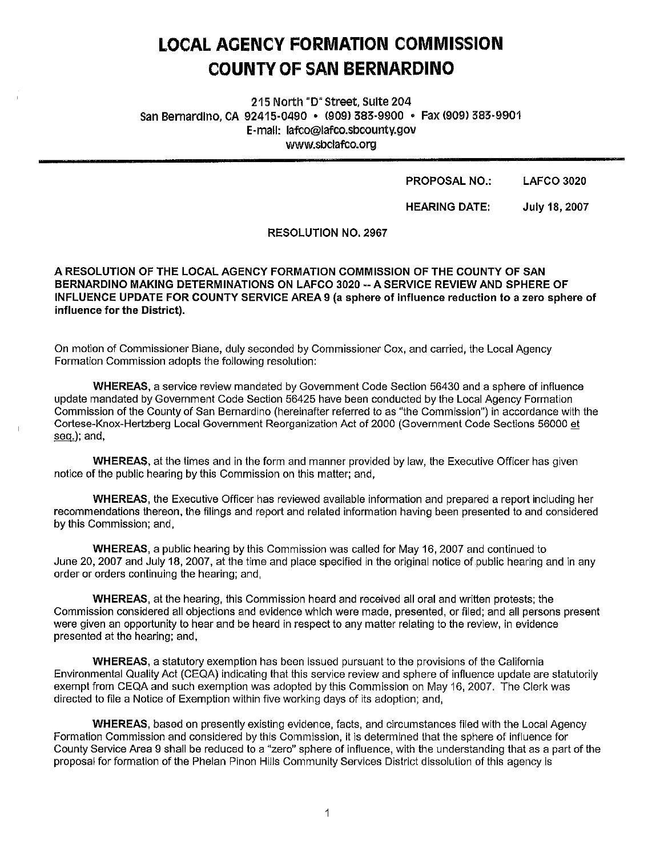# **LOCAL AOENCY FORMATION COMMISSION COUNTY OF SAN BERNARDINO**

**215 North "D" Street, Suite 204 San Bernardino, CA 92415-0490 • C909J 383-9900 • Fax !909) 383-9901 E-mail: lafco@lafco.sbcounty.gov www.sbclafco.org** 

#### **PROPOSAL NO.: LAFCO 3020**

**HEARING DATE: July 18, 2007** 

#### **RESOLUTION NO. 2967**

**A RESOLUTION OF THE LOCAL AGENCY FORMATION COMMISSION OF THE COUNTY OF SAN BERNARDINO MAKING DETERMINATIONS ON LAFCO 3020 --A SERVICE REVIEW AND SPHERE OF INFLUENCE UPDATE FOR COUNTY SERVICE AREA 9 (a sphere of influence reduction to a zero sphere of influence for the District).** 

On motion of Commissioner Biane, duly seconded by Commissioner Cox, and carried, the Local Agency Formation Commission adopts the following resolution:

**WHEREAS,** a service review mandated by Government Code Section 56430 and a sphere of influence update mandated by Government Code Section 56425 have been conducted by the Local Agency Formation Commission of the County of San Bernardino {hereinafter referred to as "the Commission") in accordance with the Cortese-Knox-Hertzberg Local Government Reorganization Act of 2000 (Government Code Sections 56000 et seq.); and,

**WHEREAS,** at the times and in the form and manner provided by law, the Executive Officer has given notice of the public hearing by this Commission on this matter; and,

**WHEREAS,** the Executive Officer has reviewed available information and prepared a report including her recommendations thereon, the filings and report and related information having been presented to and considered by this Commission; and,

**WHEREAS,** a public hearing by this Commission was called for May 16, 2007 and continued to June 20, 2007 and July 18, 2007, at the time and place specified in the original notice of public hearing and in any order or orders continuing the hearing; and,

**WHEREAS,** at the hearing, this Commission heard and received all oral and written protests; the Commission considered all objections and evidence which were made, presented, or filed; and all persons present were given an opportunity to hear and be heard in respect to any matter relating to the review, in evidence presented at the hearing; and,

**WHEREAS,** a statutory exemption has been issued pursuant to the provisions of the California Environmental Quality Act (CEQA) indicating that this service review and sphere of influence update are statutorily exempt from CEQA and such exemption was adopted by this Commission on May 16, 2007. The Clerk was directed to file a Notice of Exemption within five working days of its adoption; and,

**WHEREAS,** based on presently existing evidence, facts, and circumstances filed with the Local Agency Formation Commission and considered by this Commission, ii is determined that the sphere of influence for County Service Area 9 shall be reduced to a "zero" sphere of influence, with the understanding that as a part of the proposal for formation of the Phelan Pinon Hills Community Services District dissolution of this agency is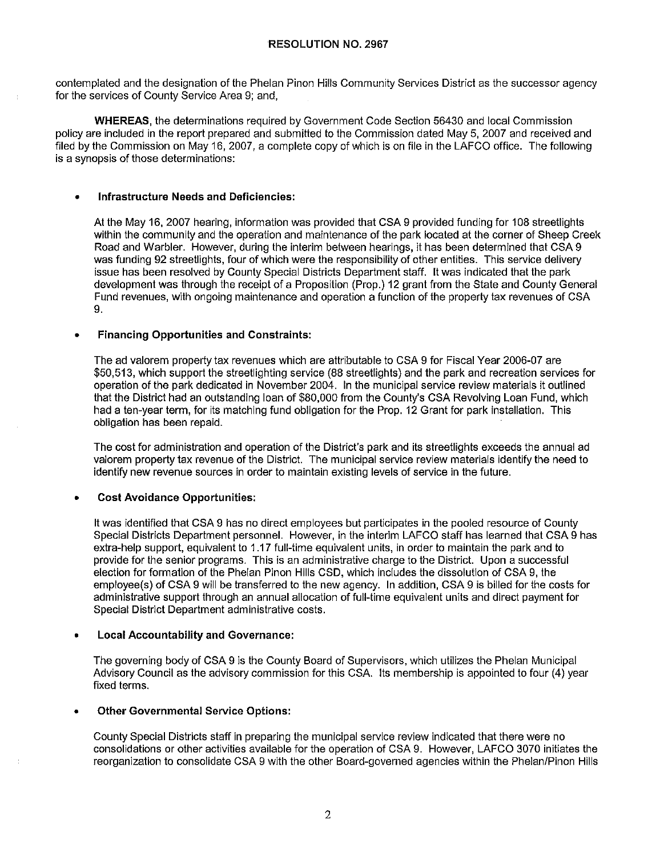#### **RESOLUTION NO. 2967**

contemplated and the designation of the Phelan Pinon Hills Community Services District as the successor agency for the services of County Service Area 9; and,

**WHEREAS,** the determinations required by Government Code Section 56430 and local Commission policy are included in the report prepared and submitted to the Commission dated May 5, 2007 and received and filed by the Commission on May 16, 2007, a complete copy of which is on file in the LAFCO office. The following is a synopsis of those determinations:

### • **Infrastructure Needs and Deficiencies:**

At the May 16, 2007 hearing, information was provided that CSA 9 provided funding for 108 streetlights within the community and the operation and maintenance of the park located at the corner of Sheep Creek Road and Warbler. However, during the interim between hearings, it has been determined that CSA 9 was funding 92 streetlights, four of which were the responsibility of other entities. This service delivery issue has been resolved by County Special Districts Department staff. It was indicated that the park development was through the receipt of a Proposition (Prop.) 12 grant from the State and County General Fund revenues, with ongoing maintenance and operation a function of the property tax revenues of CSA 9.

# • **Financing Opportunities and Constraints:**

The ad valorem property tax revenues which are attributable to CSA 9 for Fiscal Year 2006-07 are \$50,513, which support the streetlighting service (88 streetlights) and the park and recreation services for operation of the park dedicated in November 2004. In the municipal service review materials it outlined that the District had an outstanding loan of \$80,000 from the County's CSA Revolving Loan Fund, which had a ten-year term, for its matching fund obligation for the Prop. 12 Grant for park installation. This obligation has been repaid.

The cost for administration and operation of the District's park and its streetlights exceeds the annual ad valorem property tax revenue of the District. The municipal service review materials identify the need to identify new revenue sources in order to maintain existing levels of service in the future.

# • **Cost Avoidance Opportunities:**

It was identified that CSA 9 has no direct employees but participates in the pooled resource of County Special Districts Department personnel. However, in the interim LAFCO staff has learned that CSA 9 has extra-help support, equivalent to 1.17 full-time equivalent units, in order to maintain the park and to provide for the senior programs. This is an administrative charge to the District. Upon a successful election for formation of the Phelan Pinon Hills CSD, which includes the dissolution of CSA 9, the employee(s) of CSA 9 will be transferred to the new agency. In addition, CSA 9 is billed for the costs for administrative support through an annual allocation of full-time equivalent units and direct payment for Special District Department administrative costs.

# • **Local Accountability and Governance:**

The governing body of CSA 9 is the County Board of Supervisors, which utilizes the Phelan Municipal Advisory Council as the advisory commission for this CSA. Its membership is appointed to four (4) year fixed terms.

# • **Other Governmental Service Options:**

County Special Districts staff in preparing the municipal service review indicated that there were no consolidations or other activities available for the operation of CSA 9. However, LAFCO 3070 initiates the reorganization to consolidate CSA 9 with the other Board-governed agencies within the Phelan/Pinon Hills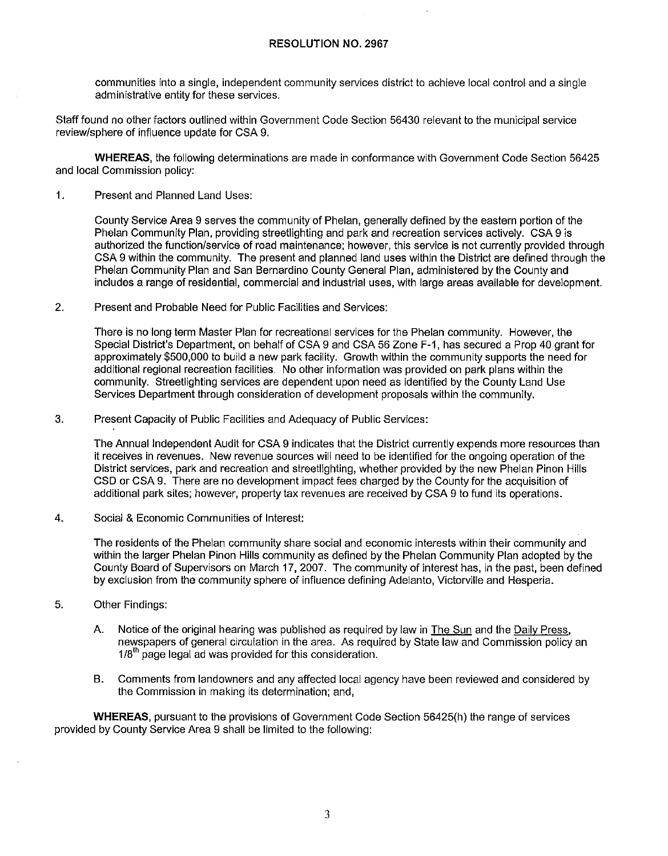#### **RESOLUTION NO. 2967**

communities into a single, independent community services district to achieve local control and a single administrative entity for these services.

Staff found no other factors outlined within Government Code Section 56430 relevant to the municipal service review/sphere of influence update for CSA 9.

**WHEREAS,** the following determinations are made in conformance with Government Code Section 56425 and local Commission policy:

1. Present and Planned Land Uses:

County Service Area 9 serves the community of Phelan, generally defined by the eastern portion of the Phelan Community Plan, providing streetlighting and park and recreation services actively. CSA 9 is authorized the function/service of road maintenance; however, this service **is** not currently provided through CSA 9 within the community. The present and planned land uses within the District are defined through the Phelan Community Plan and San Bernardino County General Plan, administered by the County and includes a range of residential, commercial and industrial uses, with large areas available for development.

2. Present and Probable Need for Public Facilities and Services:

There is no long term Master Plan for recreational services for the Phelan community. However, the Special District's Department, on behalf of CSA 9 and CSA 56 Zone F-1, has secured a Prop 40 grant for approximately \$500,000 to build a new park facility. Growth within the community supports the need for additional regional recreation facilities. No other information was provided on park plans within the community. Slreellighting services are dependent upon need as identified by the County Land Use Services Department through consideration of development proposals within the community.

3. Present Capacity of Public Facilities and Adequacy of Public Services:

The Annual Independent Audit for CSA 9 indicates that the District currently expends more resources than it receives in revenues. New revenue sources will need to be identified for the ongoing operation of the District services, park and recreation and streellighling, whether provided by the new Phelan Pinon Hills CSD or CSA 9. There are no development impact fees charged by the County for the acquisition of additional park sites; however, property tax revenues are received by CSA 9 to fund its operations.

4. Social & Economic Communities of Interest:

The residents of the Phelan community share social and economic interests within their community and within the larger Phelan Pinon Hills community as defined by the Phelan Community Plan adopted by the County Board of Supervisors on March 17, 2007. The community of interest has, in the past, been defined by exclusion from the community sphere of influence defining Adelanto, Victorville and Hesperia.

- 5. Other Findings:
	- A. Notice of the original hearing was published as required by law in The Sun and the Daily Press, newspapers of general circulation in the area. As required by State law and Commission policy an  $1/8<sup>th</sup>$  page legal ad was provided for this consideration.
	- B. Comments from landowners and any affected local agency have been reviewed and considered by the Commission in making its determination; and,

**WHEREAS**, pursuant to the provisions of Government Code Section 56425(h) the range of services provided by County Service Area 9 shall be limited to the following: